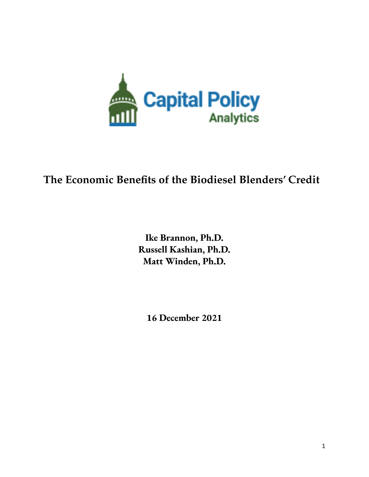

# **The Economic Benefits of the Biodiesel Blenders' Credit**

**Ike Brannon, Ph.D. Russell Kashian, Ph.D. Matt Winden, Ph.D.**

**16 December 2021**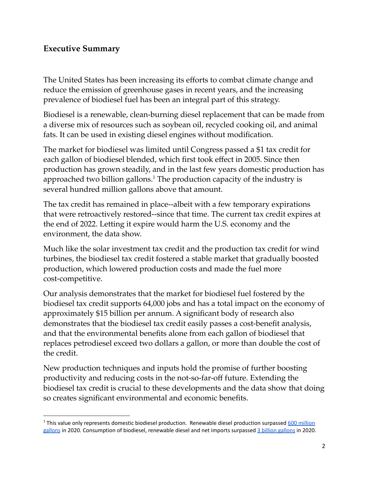### **Executive Summary**

The United States has been increasing its efforts to combat climate change and reduce the emission of greenhouse gases in recent years, and the increasing prevalence of biodiesel fuel has been an integral part of this strategy.

Biodiesel is a renewable, clean-burning diesel replacement that can be made from a diverse mix of resources such as soybean oil, recycled cooking oil, and animal fats. It can be used in existing diesel engines without modification.

The market for biodiesel was limited until Congress passed a \$1 tax credit for each gallon of biodiesel blended, which first took effect in 2005. Since then production has grown steadily, and in the last few years domestic production has approached two billion gallons. $^1$  The production capacity of the industry is several hundred million gallons above that amount.

The tax credit has remained in place--albeit with a few temporary expirations that were retroactively restored--since that time. The current tax credit expires at the end of 2022. Letting it expire would harm the U.S. economy and the environment, the data show.

Much like the solar investment tax credit and the production tax credit for wind turbines, the biodiesel tax credit fostered a stable market that gradually boosted production, which lowered production costs and made the fuel more cost-competitive.

Our analysis demonstrates that the market for biodiesel fuel fostered by the biodiesel tax credit supports 64,000 jobs and has a total impact on the economy of approximately \$15 billion per annum. A significant body of research also demonstrates that the biodiesel tax credit easily passes a cost-benefit analysis, and that the environmental benefits alone from each gallon of biodiesel that replaces petrodiesel exceed two dollars a gallon, or more than double the cost of the credit.

New production techniques and inputs hold the promise of further boosting productivity and reducing costs in the not-so-far-off future. Extending the biodiesel tax credit is crucial to these developments and the data show that doing so creates significant environmental and economic benefits.

<sup>&</sup>lt;sup>1</sup> This value only represents domestic biodiesel production. Renewable diesel production surpassed 600 [million](https://www.eia.gov/todayinenergy/detail.php?id=48916) [gallons](https://www.epa.gov/sites/default/files/2021-01/fuelproduction_dec2020_0.csv) in 2020. Consumption of biodiesel, renewable diesel and net imports surpassed 3 billion gallons in 2020.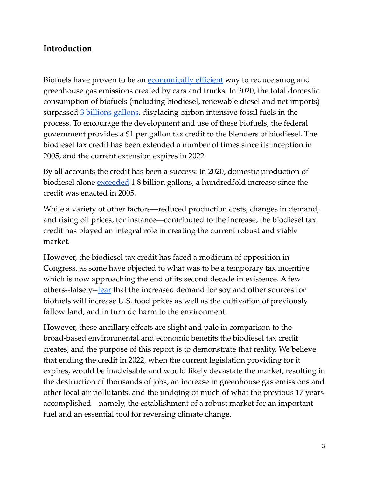# **Introduction**

Biofuels have proven to be an [economically](https://www.pnas.org/content/103/30/11206) efficient way to reduce smog and greenhouse gas emissions created by cars and trucks. In 2020, the total domestic consumption of biofuels (including biodiesel, renewable diesel and net imports) surpassed 3 [billions](https://www.epa.gov/sites/default/files/2021-01/fuelproduction_dec2020_0.csv) gallons, displacing carbon intensive fossil fuels in the process. To encourage the development and use of these biofuels, the federal government provides a \$1 per gallon tax credit to the blenders of biodiesel. The biodiesel tax credit has been extended a number of times since its inception in 2005, and the current extension expires in 2022.

By all accounts the credit has been a success: In 2020, domestic production of biodiesel alone <u>[exceeded](https://afdc.energy.gov/data/10325)</u> 1.8 billion gallons, a hundredfold increase since the credit was enacted in 2005.

While a variety of other factors—reduced production costs, changes in demand, and rising oil prices, for instance—contributed to the increase, the biodiesel tax credit has played an integral role in creating the current robust and viable market.

However, the biodiesel tax credit has faced a modicum of opposition in Congress, as some have objected to what was to be a temporary tax incentive which is now approaching the end of its second decade in existence. A few others--falsely--<u>fear</u> that the increased demand for soy and other sources for biofuels will increase U.S. food prices as well as the cultivation of previously fallow land, and in turn do harm to the environment.

However, these ancillary effects are slight and pale in comparison to the broad-based environmental and economic benefits the biodiesel tax credit creates, and the purpose of this report is to demonstrate that reality. We believe that ending the credit in 2022, when the current legislation providing for it expires, would be inadvisable and would likely devastate the market, resulting in the destruction of thousands of jobs, an increase in greenhouse gas emissions and other local air pollutants, and the undoing of much of what the previous 17 years accomplished—namely, the establishment of a robust market for an important fuel and an essential tool for reversing climate change.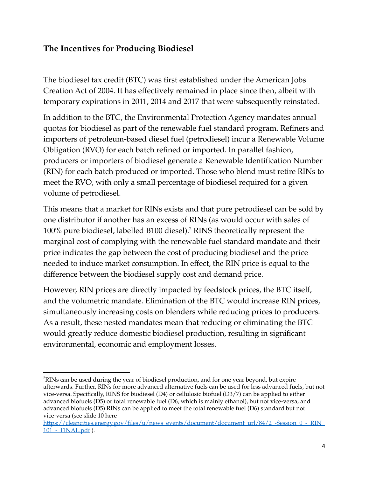# **The Incentives for Producing Biodiesel**

The biodiesel tax credit (BTC) was first established under the American Jobs Creation Act of 2004. It has effectively remained in place since then, albeit with temporary expirations in 2011, 2014 and 2017 that were subsequently reinstated.

In addition to the BTC, the Environmental Protection Agency mandates annual quotas for biodiesel as part of the renewable fuel standard program. Refiners and importers of petroleum-based diesel fuel (petrodiesel) incur a Renewable Volume Obligation (RVO) for each batch refined or imported. In parallel fashion, producers or importers of biodiesel generate a Renewable Identification Number (RIN) for each batch produced or imported. Those who blend must retire RINs to meet the RVO, with only a small percentage of biodiesel required for a given volume of petrodiesel.

This means that a market for RINs exists and that pure petrodiesel can be sold by one distributor if another has an excess of RINs (as would occur with sales of  $100\%$  pure biodiesel, labelled B100 diesel).<sup>2</sup> RINS theoretically represent the marginal cost of complying with the renewable fuel standard mandate and their price indicates the gap between the cost of producing biodiesel and the price needed to induce market consumption. In effect, the RIN price is equal to the difference between the biodiesel supply cost and demand price.

However, RIN prices are directly impacted by feedstock prices, the BTC itself, and the volumetric mandate. Elimination of the BTC would increase RIN prices, simultaneously increasing costs on blenders while reducing prices to producers. As a result, these nested mandates mean that reducing or eliminating the BTC would greatly reduce domestic biodiesel production, resulting in significant environmental, economic and employment losses.

<sup>2</sup>RINs can be used during the year of biodiesel production, and for one year beyond, but expire afterwards. Further, RINs for more advanced alternative fuels can be used for less advanced fuels, but not vice-versa. Specifically, RINS for biodiesel (D4) or cellulosic biofuel (D3/7) can be applied to either advanced biofuels (D5) or total renewable fuel (D6, which is mainly ethanol), but not vice-versa, and advanced biofuels (D5) RINs can be applied to meet the total renewable fuel (D6) standard but not vice-versa (see slide 10 here

[https://cleancities.energy.gov/files/u/news\\_events/document/document\\_url/84/2\\_-Session\\_0\\_-\\_RIN\\_](https://cleancities.energy.gov/files/u/news_events/document/document_url/84/2_-Session_0_-_RIN_101_-_FINAL.pdf) 101 - FINAL.pdf ).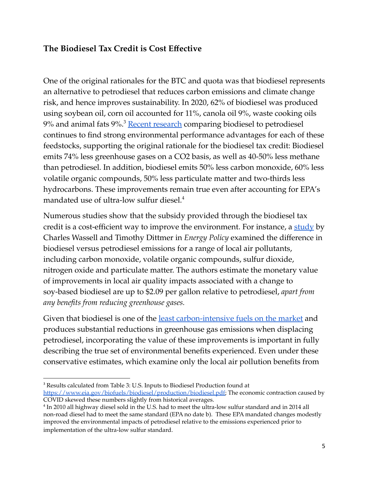# **The Biodiesel Tax Credit is Cost Effective**

One of the original rationales for the BTC and quota was that biodiesel represents an alternative to petrodiesel that reduces carbon emissions and climate change risk, and hence improves sustainability. In 2020, 62% of biodiesel was produced using soybean oil, corn oil accounted for 11%, canola oil 9%, waste cooking oils 9% and animal fats 9%.<sup>3</sup> <u>Recent [research](https://afdc.energy.gov/vehicles/diesels_emissions.html)</u> comparing biodiesel to petrodiesel continues to find strong environmental performance advantages for each of these feedstocks, supporting the original rationale for the biodiesel tax credit: Biodiesel emits 74% less greenhouse gases on a CO2 basis, as well as 40-50% less methane than petrodiesel. In addition, biodiesel emits 50% less carbon monoxide, 60% less volatile organic compounds, 50% less particulate matter and two-thirds less hydrocarbons. These improvements remain true even after accounting for EPA's mandated use of ultra-low sulfur diesel. 4

Numerous studies show that the subsidy provided through the biodiesel tax credit is a cost-efficient way to improve the environment. For instance, a [study](https://www.sciencedirect.com/science/article/abs/pii/S0301421505002600?via%3Dihub) by Charles Wassell and Timothy Dittmer in *Energy Policy* examined the difference in biodiesel versus petrodiesel emissions for a range of local air pollutants, including carbon monoxide, volatile organic compounds, sulfur dioxide, nitrogen oxide and particulate matter. The authors estimate the monetary value of improvements in local air quality impacts associated with a change to soy-based biodiesel are up to \$2.09 per gallon relative to petrodiesel, *apart from any benefits from reducing greenhouse gases.*

Given that biodiesel is one of the least [carbon-intensive](https://www.epa.gov/sites/default/files/2015-07/documents/emission-factors_2014.pdf) fuels on the market and produces substantial reductions in greenhouse gas emissions when displacing petrodiesel, incorporating the value of these improvements is important in fully describing the true set of environmental benefits experienced. Even under these conservative estimates, which examine only the local air pollution benefits from

<sup>3</sup> Results calculated from Table 3: U.S. Inputs to Biodiesel Production found at [https://www.eia.gov/biofuels/biodiesel/production/biodiesel.pdf;](https://www.eia.gov/biofuels/biodiesel/production/biodiesel.pdf) The economic contraction caused by COVID skewed these numbers slightly from historical averages.

<sup>4</sup> In 2010 all highway diesel sold in the U.S. had to meet the ultra-low sulfur standard and in 2014 all non-road diesel had to meet the same standard (EPA no date b). These EPA mandated changes modestly improved the environmental impacts of petrodiesel relative to the emissions experienced prior to implementation of the ultra-low sulfur standard.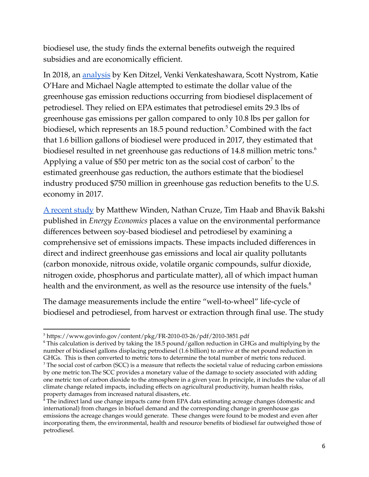biodiesel use, the study finds the external benefits outweigh the required subsidies and are economically efficient.

In 2018, an [analysis](https://www.fticonsulting.com/insights/reports/biodiesel-industry-impacts-economy-environment-energy-security) by Ken Ditzel, Venki Venkateshawara, Scott Nystrom, Katie O'Hare and Michael Nagle attempted to estimate the dollar value of the greenhouse gas emission reductions occurring from biodiesel displacement of petrodiesel. They relied on EPA estimates that petrodiesel emits 29.3 lbs of greenhouse gas emissions per gallon compared to only 10.8 lbs per gallon for biodiesel, which represents an 18.5 pound reduction. $^5$  Combined with the fact that 1.6 billion gallons of biodiesel were produced in 2017, they estimated that biodiesel resulted in net greenhouse gas reductions of 14.8 million metric tons. $^6$ Applying a value of \$50 per metric ton as the social cost of carbon<sup>7</sup> to the estimated greenhouse gas reduction, the authors estimate that the biodiesel industry produced \$750 million in greenhouse gas reduction benefits to the U.S. economy in 2017.

A [recent](https://ideas.repec.org/a/eee/eneeco/v47y2015icp18-24.html) study by Matthew Winden, Nathan Cruze, Tim Haab and Bhavik Bakshi published in *Energy Economics* places a value on the environmental performance differences between soy-based biodiesel and petrodiesel by examining a comprehensive set of emissions impacts. These impacts included differences in direct and indirect greenhouse gas emissions and local air quality pollutants (carbon monoxide, nitrous oxide, volatile organic compounds, sulfur dioxide, nitrogen oxide, phosphorus and particulate matter), all of which impact human health and the environment, as well as the resource use intensity of the fuels. $^8$ 

The damage measurements include the entire "well-to-wheel" life-cycle of biodiesel and petrodiesel, from harvest or extraction through final use. The study

<sup>6</sup> This calculation is derived by taking the 18.5 pound/gallon reduction in GHGs and multiplying by the number of biodiesel gallons displacing petrodiesel (1.6 billion) to arrive at the net pound reduction in GHGs. This is then converted to metric tons to determine the total number of metric tons reduced.

<sup>5</sup> https://www.govinfo.gov/content/pkg/FR-2010-03-26/pdf/2010-3851.pdf

<sup>7</sup> The social cost of carbon (SCC) is a measure that reflects the societal value of reducing carbon emissions by one metric ton.The SCC provides a monetary value of the damage to society associated with adding one metric ton of carbon dioxide to the atmosphere in a given year. In principle, it includes the value of all climate change related impacts, including effects on agricultural productivity, human health risks, property damages from increased natural disasters, etc.

<sup>&</sup>lt;sup>8</sup> The indirect land use change impacts came from EPA data estimating acreage changes (domestic and international) from changes in biofuel demand and the corresponding change in greenhouse gas emissions the acreage changes would generate. These changes were found to be modest and even after incorporating them, the environmental, health and resource benefits of biodiesel far outweighed those of petrodiesel.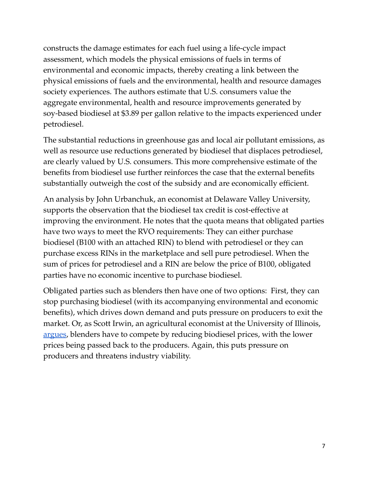constructs the damage estimates for each fuel using a life-cycle impact assessment, which models the physical emissions of fuels in terms of environmental and economic impacts, thereby creating a link between the physical emissions of fuels and the environmental, health and resource damages society experiences. The authors estimate that U.S. consumers value the aggregate environmental, health and resource improvements generated by soy-based biodiesel at \$3.89 per gallon relative to the impacts experienced under petrodiesel.

The substantial reductions in greenhouse gas and local air pollutant emissions, as well as resource use reductions generated by biodiesel that displaces petrodiesel, are clearly valued by U.S. consumers. This more comprehensive estimate of the benefits from biodiesel use further reinforces the case that the external benefits substantially outweigh the cost of the subsidy and are economically efficient.

An analysis by John Urbanchuk, an economist at Delaware Valley University, supports the observation that the biodiesel tax credit is cost-effective at improving the environment. He notes that the quota means that obligated parties have two ways to meet the RVO requirements: They can either purchase biodiesel (B100 with an attached RIN) to blend with petrodiesel or they can purchase excess RINs in the marketplace and sell pure petrodiesel. When the sum of prices for petrodiesel and a RIN are below the price of B100, obligated parties have no economic incentive to purchase biodiesel.

Obligated parties such as blenders then have one of two options: First, they can stop purchasing biodiesel (with its accompanying environmental and economic benefits), which drives down demand and puts pressure on producers to exit the market. Or, as Scott Irwin, an agricultural economist at the University of Illinois, [argues](https://farmdocdaily.illinois.edu/2017/04/blender-and-producer-sharing-retroactively.html), blenders have to compete by reducing biodiesel prices, with the lower prices being passed back to the producers. Again, this puts pressure on producers and threatens industry viability.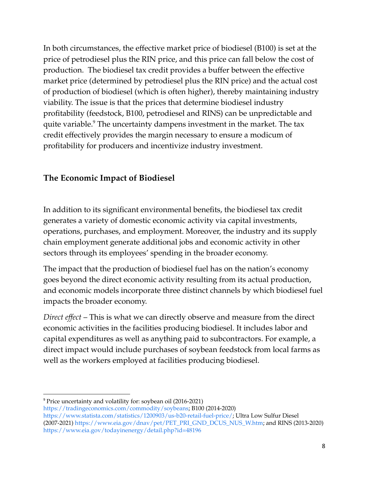In both circumstances, the effective market price of biodiesel (B100) is set at the price of petrodiesel plus the RIN price, and this price can fall below the cost of production. The biodiesel tax credit provides a buffer between the effective market price (determined by petrodiesel plus the RIN price) and the actual cost of production of biodiesel (which is often higher), thereby maintaining industry viability. The issue is that the prices that determine biodiesel industry profitability (feedstock, B100, petrodiesel and RINS) can be unpredictable and quite variable. $9$  The uncertainty dampens investment in the market. The tax credit effectively provides the margin necessary to ensure a modicum of profitability for producers and incentivize industry investment.

# **The Economic Impact of Biodiesel**

In addition to its significant environmental benefits, the biodiesel tax credit generates a variety of domestic economic activity via capital investments, operations, purchases, and employment. Moreover, the industry and its supply chain employment generate additional jobs and economic activity in other sectors through its employees' spending in the broader economy.

The impact that the production of biodiesel fuel has on the nation's economy goes beyond the direct economic activity resulting from its actual production, and economic models incorporate three distinct channels by which biodiesel fuel impacts the broader economy.

*Direct effect* – This is what we can directly observe and measure from the direct economic activities in the facilities producing biodiesel. It includes labor and capital expenditures as well as anything paid to subcontractors. For example, a direct impact would include purchases of soybean feedstock from local farms as well as the workers employed at facilities producing biodiesel.

<sup>9</sup> Price uncertainty and volatility for: soybean oil (2016-2021)

[https://tradingeconomics.com/commodity/soybeans;](https://tradingeconomics.com/commodity/soybeans) B100 (2014-2020)

<https://www.statista.com/statistics/1200903/us-b20-retail-fuel-price/>; Ultra Low Sulfur Diesel (2007-2021) [https://www.eia.gov/dnav/pet/PET\\_PRI\\_GND\\_DCUS\\_NUS\\_W.htm;](https://www.eia.gov/dnav/pet/PET_PRI_GND_DCUS_NUS_W.htm) and RINS (2013-2020) <https://www.eia.gov/todayinenergy/detail.php?id=48196>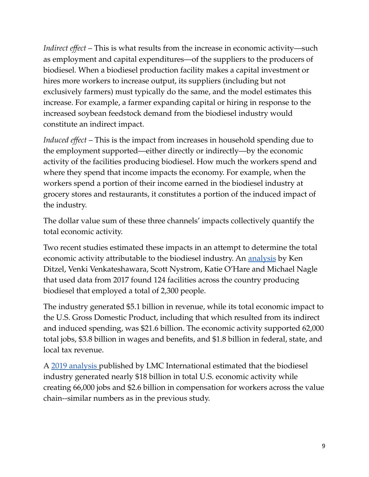*Indirect effect* – This is what results from the increase in economic activity—such as employment and capital expenditures—of the suppliers to the producers of biodiesel. When a biodiesel production facility makes a capital investment or hires more workers to increase output, its suppliers (including but not exclusively farmers) must typically do the same, and the model estimates this increase. For example, a farmer expanding capital or hiring in response to the increased soybean feedstock demand from the biodiesel industry would constitute an indirect impact.

*Induced effect* – This is the impact from increases in household spending due to the employment supported—either directly or indirectly—by the economic activity of the facilities producing biodiesel. How much the workers spend and where they spend that income impacts the economy. For example, when the workers spend a portion of their income earned in the biodiesel industry at grocery stores and restaurants, it constitutes a portion of the induced impact of the industry.

The dollar value sum of these three channels' impacts collectively quantify the total economic activity.

Two recent studies estimated these impacts in an attempt to determine the total economic activity attributable to the biodiesel industry. An **[analysis](https://www.fticonsulting.com/insights/reports/biodiesel-industry-impacts-economy-environment-energy-security)** by Ken Ditzel, Venki Venkateshawara, Scott Nystrom, Katie O'Hare and Michael Nagle that used data from 2017 found 124 facilities across the country producing biodiesel that employed a total of 2,300 people.

The industry generated \$5.1 billion in revenue, while its total economic impact to the U.S. Gross Domestic Product, including that which resulted from its indirect and induced spending, was \$21.6 billion. The economic activity supported 62,000 total jobs, \$3.8 billion in wages and benefits, and \$1.8 billion in federal, state, and local tax revenue.

A 2019 [analysis](https://www.biodiesel.org/docs/default-source/federal-files/lmc_economic-impacts-of-biodiesel_august-2019.pdf?sfvrsn=ce27766b_2) published by LMC International estimated that the biodiesel industry generated nearly \$18 billion in total U.S. economic activity while creating 66,000 jobs and \$2.6 billion in compensation for workers across the value chain--similar numbers as in the previous study.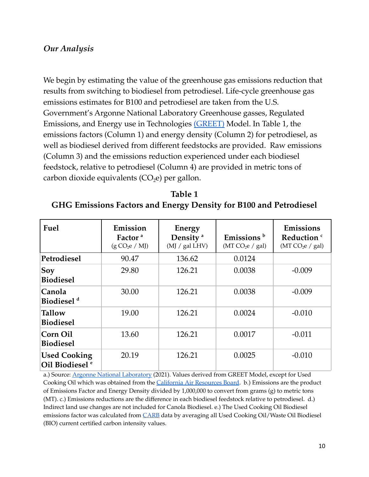#### *Our Analysis*

We begin by estimating the value of the greenhouse gas emissions reduction that results from switching to biodiesel from petrodiesel. Life-cycle greenhouse gas emissions estimates for B100 and petrodiesel are taken from the U.S. Government's Argonne National Laboratory Greenhouse gasses, Regulated Emissions, and Energy use in Technologies [\(GREET\)](https://greet.es.anl.gov/) Model. In Table 1, the emissions factors (Column 1) and energy density (Column 2) for petrodiesel, as well as biodiesel derived from different feedstocks are provided. Raw emissions (Column 3) and the emissions reduction experienced under each biodiesel feedstock, relative to petrodiesel (Column 4) are provided in metric tons of carbon dioxide equivalents  $(CO<sub>2</sub>e)$  per gallon.

| Table 1                                                           |
|-------------------------------------------------------------------|
| GHG Emissions Factors and Energy Density for B100 and Petrodiesel |

| Fuel                                              | Emission<br>Factor <sup>a</sup><br>(g CO <sub>2</sub> e / MJ) | Energy<br>Density <sup>a</sup><br>(MJ / gal LHV) | Emissions <sup>b</sup><br>(MT $CO2e / gal$ ) | Emissions<br>Reduction <sup>c</sup><br>(MT $CO2e / gal$ ) |
|---------------------------------------------------|---------------------------------------------------------------|--------------------------------------------------|----------------------------------------------|-----------------------------------------------------------|
| Petrodiesel                                       | 90.47                                                         | 136.62                                           | 0.0124                                       |                                                           |
| $ $ Soy<br><b>Biodiesel</b>                       | 29.80                                                         | 126.21                                           | 0.0038                                       | $-0.009$                                                  |
| Canola<br>Biodiesel <sup>d</sup>                  | 30.00                                                         | 126.21                                           | 0.0038                                       | $-0.009$                                                  |
| <b>Tallow</b><br><b>Biodiesel</b>                 | 19.00                                                         | 126.21                                           | 0.0024                                       | $-0.010$                                                  |
| Corn Oil<br><b>Biodiesel</b>                      | 13.60                                                         | 126.21                                           | 0.0017                                       | $-0.011$                                                  |
| <b>Used Cooking</b><br>Oil Biodiesel <sup>e</sup> | 20.19                                                         | 126.21                                           | 0.0025                                       | $-0.010$                                                  |

a.) Source: Argonne National [Laboratory](https://greet.es.anl.gov/) (2021). Values derived from GREET Model, except for Used Cooking Oil which was obtained from the California Air [Resources](https://ww2.arb.ca.gov/resources/documents/lcfs-pathway-certified-carbon-intensities) Board. b.) Emissions are the product of Emissions Factor and Energy Density divided by 1,000,000 to convert from grams (g) to metric tons (MT). c.) Emissions reductions are the difference in each biodiesel feedstock relative to petrodiesel. d.) Indirect land use changes are not included for Canola Biodiesel. e.) The Used Cooking Oil Biodiesel emissions factor was calculated from [CARB](https://ww2.arb.ca.gov/sites/default/files/classic/fuels/lcfs/fuelpathways/current-pathways_all.xlsx) data by averaging all Used Cooking Oil/Waste Oil Biodiesel (BIO) current certified carbon intensity values.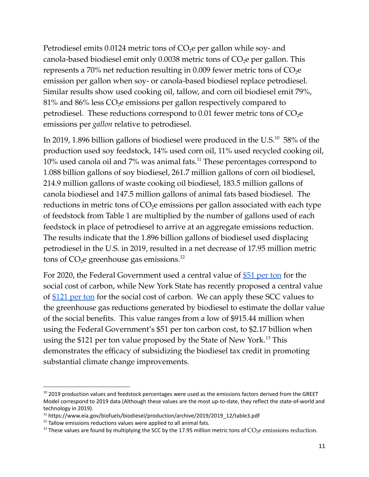Petrodiesel emits 0.0124 metric tons of  $CO<sub>2</sub>e$  per gallon while soy- and canola-based biodiesel emit only  $0.0038$  metric tons of  $CO<sub>2</sub>e$  per gallon. This represents a 70% net reduction resulting in 0.009 fewer metric tons of  $CO<sub>2</sub>e$ emission per gallon when soy- or canola-based biodiesel replace petrodiesel. Similar results show used cooking oil, tallow, and corn oil biodiesel emit 79%,  $81\%$  and  $86\%$  less  $CO<sub>2</sub>e$  emissions per gallon respectively compared to petrodiesel. These reductions correspond to 0.01 fewer metric tons of  $CO<sub>2</sub>e$ emissions per *gallon* relative to petrodiesel.

In 2019, 1.896 billion gallons of biodiesel were produced in the U.S. $^{10}$  58% of the production used soy feedstock, 14% used corn oil, 11% used recycled cooking oil,  $10\%$  used canola oil and 7% was animal fats. $^{11}$  These percentages correspond to 1.088 billion gallons of soy biodiesel, 261.7 million gallons of corn oil biodiesel, 214.9 million gallons of waste cooking oil biodiesel, 183.5 million gallons of canola biodiesel and 147.5 million gallons of animal fats based biodiesel. The reductions in metric tons of  $CO<sub>2</sub>e$  emissions per gallon associated with each type of feedstock from Table 1 are multiplied by the number of gallons used of each feedstock in place of petrodiesel to arrive at an aggregate emissions reduction. The results indicate that the 1.896 billion gallons of biodiesel used displacing petrodiesel in the U.S. in 2019, resulted in a net decrease of 17.95 million metric tons of  $CO<sub>2</sub>e$  greenhouse gas emissions.<sup>12</sup>

For 2020, the Federal Government used a central value of [\\$51](https://www.whitehouse.gov/wp-content/uploads/2021/02/TechnicalSupportDocument_SocialCostofCarbonMethaneNitrousOxide.pdf?source=email) per ton for the social cost of carbon, while New York State has recently proposed a central value of [\\$121](https://www.dec.ny.gov/docs/administration_pdf/vocguidrev.pdf) per ton for the social cost of carbon. We can apply these SCC values to the greenhouse gas reductions generated by biodiesel to estimate the dollar value of the social benefits. This value ranges from a low of \$915.44 million when using the Federal Government's \$51 per ton carbon cost, to \$2.17 billion when using the \$121 per ton value proposed by the State of New York.<sup>13</sup> This demonstrates the efficacy of subsidizing the biodiesel tax credit in promoting substantial climate change improvements.

 $10$  2019 production values and feedstock percentages were used as the emissions factors derived from the GREET Model correspond to 2019 data (Although these values are the most up-to-date, they reflect the state-of-world and technology in 2019).

<sup>&</sup>lt;sup>11</sup> https://www.eia.gov/biofuels/biodiesel/production/archive/2019/2019\_12/table3.pdf

 $12$  Tallow emissions reductions values were applied to all animal fats.

<sup>&</sup>lt;sup>13</sup> These values are found by multiplying the SCC by the 17.95 million metric tons of  $CO<sub>2</sub>e$  emissions reduction.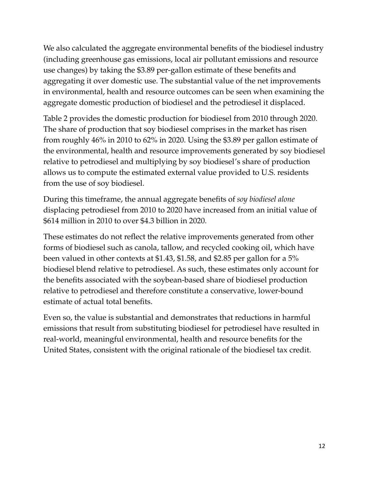We also calculated the aggregate environmental benefits of the biodiesel industry (including greenhouse gas emissions, local air pollutant emissions and resource use changes) by taking the \$3.89 per-gallon estimate of these benefits and aggregating it over domestic use. The substantial value of the net improvements in environmental, health and resource outcomes can be seen when examining the aggregate domestic production of biodiesel and the petrodiesel it displaced.

Table 2 provides the domestic production for biodiesel from 2010 through 2020. The share of production that soy biodiesel comprises in the market has risen from roughly 46% in 2010 to 62% in 2020. Using the \$3.89 per gallon estimate of the environmental, health and resource improvements generated by soy biodiesel relative to petrodiesel and multiplying by soy biodiesel's share of production allows us to compute the estimated external value provided to U.S. residents from the use of soy biodiesel.

During this timeframe, the annual aggregate benefits of *soy biodiesel alone* displacing petrodiesel from 2010 to 2020 have increased from an initial value of \$614 million in 2010 to over \$4.3 billion in 2020.

These estimates do not reflect the relative improvements generated from other forms of biodiesel such as canola, tallow, and recycled cooking oil, which have been valued in other contexts at \$1.43, \$1.58, and \$2.85 per gallon for a 5% biodiesel blend relative to petrodiesel. As such, these estimates only account for the benefits associated with the soybean-based share of biodiesel production relative to petrodiesel and therefore constitute a conservative, lower-bound estimate of actual total benefits.

Even so, the value is substantial and demonstrates that reductions in harmful emissions that result from substituting biodiesel for petrodiesel have resulted in real-world, meaningful environmental, health and resource benefits for the United States, consistent with the original rationale of the biodiesel tax credit.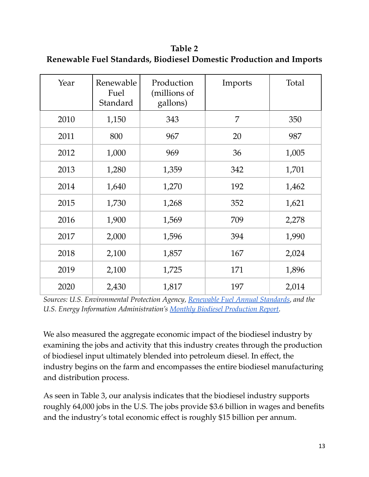**Table 2 Renewable Fuel Standards, Biodiesel Domestic Production and Imports**

| Year | Renewable<br>Fuel<br>Standard | Production<br>(millions of<br>gallons) | Imports | Total |
|------|-------------------------------|----------------------------------------|---------|-------|
| 2010 | 1,150                         | 343                                    | 7       | 350   |
| 2011 | 800                           | 967                                    | 20      | 987   |
| 2012 | 1,000                         | 969                                    | 36      | 1,005 |
| 2013 | 1,280                         | 1,359                                  | 342     | 1,701 |
| 2014 | 1,640                         | 1,270                                  | 192     | 1,462 |
| 2015 | 1,730                         | 1,268                                  | 352     | 1,621 |
| 2016 | 1,900                         | 1,569                                  | 709     | 2,278 |
| 2017 | 2,000                         | 1,596                                  | 394     | 1,990 |
| 2018 | 2,100                         | 1,857                                  | 167     | 2,024 |
| 2019 | 2,100                         | 1,725                                  | 171     | 1,896 |
| 2020 | 2,430                         | 1,817                                  | 197     | 2,014 |

*Sources: U.S. Environmental Protection Agency, [Renewable](https://www.epa.gov/renewable-fuel-standard-program/renewable-fuel-annual-standards) Fuel Annual Standards, and the U.S. Energy Information Administration's Monthly Biodiesel [Production](https://www.eia.gov/dnav/pet/pet_move_impcus_a2_nus_EPOORDB_im0_mbbl_a.htm) Report.*

We also measured the aggregate economic impact of the biodiesel industry by examining the jobs and activity that this industry creates through the production of biodiesel input ultimately blended into petroleum diesel. In effect, the industry begins on the farm and encompasses the entire biodiesel manufacturing and distribution process.

As seen in Table 3, our analysis indicates that the biodiesel industry supports roughly 64,000 jobs in the U.S. The jobs provide \$3.6 billion in wages and benefits and the industry's total economic effect is roughly \$15 billion per annum.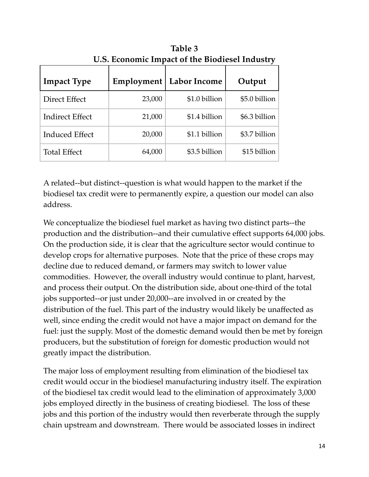| <u>181 Bechtchille Hilpwet of the Browless filmwould</u> |            |                     |                |
|----------------------------------------------------------|------------|---------------------|----------------|
| <b>Impact Type</b>                                       | Employment | <b>Labor Income</b> | Output         |
| Direct Effect                                            | 23,000     | \$1.0 billion       | $$5.0$ billion |
| <b>Indirect Effect</b>                                   | 21,000     | \$1.4 billion       | $$6.3$ billion |
| <b>Induced Effect</b>                                    | 20,000     | \$1.1 billion       | \$3.7 billion  |
| <b>Total Effect</b>                                      | 64,000     | \$3.5 billion       | \$15 billion   |

**Table 3 U.S. Economic Impact of the Biodiesel Industry**

A related--but distinct--question is what would happen to the market if the biodiesel tax credit were to permanently expire, a question our model can also address.

We conceptualize the biodiesel fuel market as having two distinct parts--the production and the distribution--and their cumulative effect supports 64,000 jobs. On the production side, it is clear that the agriculture sector would continue to develop crops for alternative purposes. Note that the price of these crops may decline due to reduced demand, or farmers may switch to lower value commodities. However, the overall industry would continue to plant, harvest, and process their output. On the distribution side, about one-third of the total jobs supported--or just under 20,000--are involved in or created by the distribution of the fuel. This part of the industry would likely be unaffected as well, since ending the credit would not have a major impact on demand for the fuel: just the supply. Most of the domestic demand would then be met by foreign producers, but the substitution of foreign for domestic production would not greatly impact the distribution.

The major loss of employment resulting from elimination of the biodiesel tax credit would occur in the biodiesel manufacturing industry itself. The expiration of the biodiesel tax credit would lead to the elimination of approximately 3,000 jobs employed directly in the business of creating biodiesel. The loss of these jobs and this portion of the industry would then reverberate through the supply chain upstream and downstream. There would be associated losses in indirect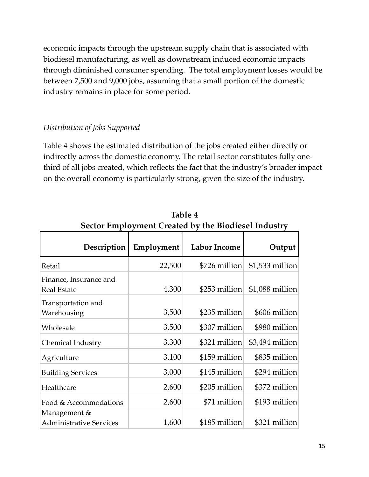economic impacts through the upstream supply chain that is associated with biodiesel manufacturing, as well as downstream induced economic impacts through diminished consumer spending. The total employment losses would be between 7,500 and 9,000 jobs, assuming that a small portion of the domestic industry remains in place for some period.

### *Distribution of Jobs Supported*

Table 4 shows the estimated distribution of the jobs created either directly or indirectly across the domestic economy. The retail sector constitutes fully onethird of all jobs created, which reflects the fact that the industry's broader impact on the overall economy is particularly strong, given the size of the industry.

| Sector Employment Created by the Biodiesel Industry |            |                     |                  |
|-----------------------------------------------------|------------|---------------------|------------------|
| Description                                         | Employment | <b>Labor Income</b> | Output           |
| Retail                                              | 22,500     | \$726 million       | $$1,533$ million |
| Finance, Insurance and<br><b>Real Estate</b>        | 4,300      | \$253 million       | $$1,088$ million |
| Transportation and<br>Warehousing                   | 3,500      | \$235 million       | \$606 million    |
| Wholesale                                           | 3,500      | \$307 million       | \$980 million    |
| Chemical Industry                                   | 3,300      | \$321 million       | $$3,494$ million |
| Agriculture                                         | 3,100      | \$159 million       | \$835 million    |
| <b>Building Services</b>                            | 3,000      | \$145 million       | \$294 million    |
| Healthcare                                          | 2,600      | \$205 million       | \$372 million    |
| Food & Accommodations                               | 2,600      | \$71 million        | \$193 million    |
| Management &<br><b>Administrative Services</b>      | 1,600      | \$185 million       | \$321 million    |

**Table 4 Sector Employment Created by the Biodiesel Industry**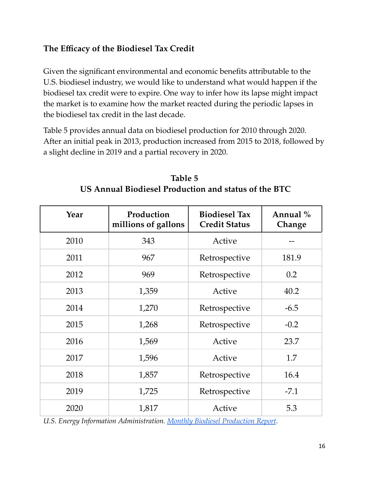# **The Efficacy of the Biodiesel Tax Credit**

Given the significant environmental and economic benefits attributable to the U.S. biodiesel industry, we would like to understand what would happen if the biodiesel tax credit were to expire. One way to infer how its lapse might impact the market is to examine how the market reacted during the periodic lapses in the biodiesel tax credit in the last decade.

Table 5 provides annual data on biodiesel production for 2010 through 2020. After an initial peak in 2013, production increased from 2015 to 2018, followed by a slight decline in 2019 and a partial recovery in 2020.

| Year | Production<br>millions of gallons | <b>Biodiesel Tax</b><br><b>Credit Status</b> | Annual %<br>Change |
|------|-----------------------------------|----------------------------------------------|--------------------|
| 2010 | 343                               | Active                                       |                    |
| 2011 | 967                               | Retrospective                                | 181.9              |
| 2012 | 969                               | Retrospective                                | 0.2                |
| 2013 | 1,359                             | Active                                       | 40.2               |
| 2014 | 1,270                             | Retrospective                                | $-6.5$             |
| 2015 | 1,268                             | Retrospective                                | $-0.2$             |
| 2016 | 1,569                             | Active                                       | 23.7               |
| 2017 | 1,596                             | Active                                       | 1.7                |
| 2018 | 1,857                             | Retrospective                                | 16.4               |
| 2019 | 1,725                             | Retrospective                                | $-7.1$             |
| 2020 | 1,817                             | Active                                       | 5.3                |

**Table 5 US Annual Biodiesel Production and status of the BTC**

*U.S. Energy Information Administration. Monthly Biodiesel [Production](https://www.eia.gov/biofuels/biodiesel/production/) Report.*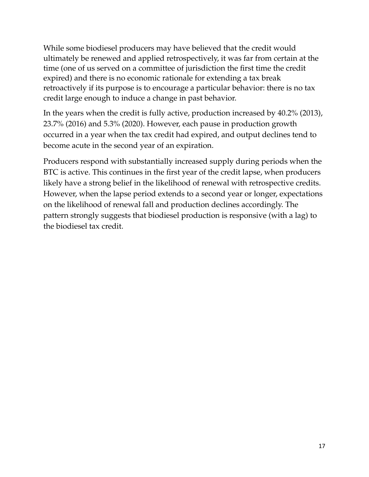While some biodiesel producers may have believed that the credit would ultimately be renewed and applied retrospectively, it was far from certain at the time (one of us served on a committee of jurisdiction the first time the credit expired) and there is no economic rationale for extending a tax break retroactively if its purpose is to encourage a particular behavior: there is no tax credit large enough to induce a change in past behavior.

In the years when the credit is fully active, production increased by 40.2% (2013), 23.7% (2016) and 5.3% (2020). However, each pause in production growth occurred in a year when the tax credit had expired, and output declines tend to become acute in the second year of an expiration.

Producers respond with substantially increased supply during periods when the BTC is active. This continues in the first year of the credit lapse, when producers likely have a strong belief in the likelihood of renewal with retrospective credits. However, when the lapse period extends to a second year or longer, expectations on the likelihood of renewal fall and production declines accordingly. The pattern strongly suggests that biodiesel production is responsive (with a lag) to the biodiesel tax credit.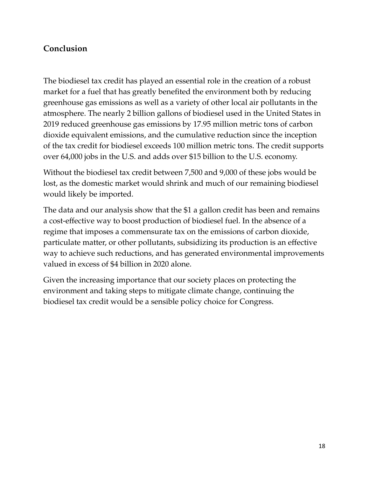### **Conclusion**

The biodiesel tax credit has played an essential role in the creation of a robust market for a fuel that has greatly benefited the environment both by reducing greenhouse gas emissions as well as a variety of other local air pollutants in the atmosphere. The nearly 2 billion gallons of biodiesel used in the United States in 2019 reduced greenhouse gas emissions by 17.95 million metric tons of carbon dioxide equivalent emissions, and the cumulative reduction since the inception of the tax credit for biodiesel exceeds 100 million metric tons. The credit supports over 64,000 jobs in the U.S. and adds over \$15 billion to the U.S. economy.

Without the biodiesel tax credit between 7,500 and 9,000 of these jobs would be lost, as the domestic market would shrink and much of our remaining biodiesel would likely be imported.

The data and our analysis show that the \$1 a gallon credit has been and remains a cost-effective way to boost production of biodiesel fuel. In the absence of a regime that imposes a commensurate tax on the emissions of carbon dioxide, particulate matter, or other pollutants, subsidizing its production is an effective way to achieve such reductions, and has generated environmental improvements valued in excess of \$4 billion in 2020 alone.

Given the increasing importance that our society places on protecting the environment and taking steps to mitigate climate change, continuing the biodiesel tax credit would be a sensible policy choice for Congress.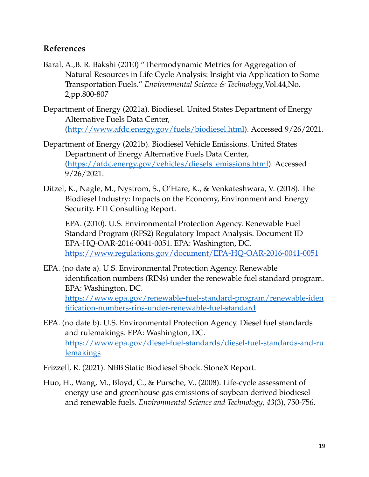### **References**

- Baral, A.,B. R. Bakshi (2010) "Thermodynamic Metrics for Aggregation of Natural Resources in Life Cycle Analysis: Insight via Application to Some Transportation Fuels." *Environmental Science & Technology*,Vol.44,No. 2,pp.800-807
- Department of Energy (2021a). Biodiesel. United States Department of Energy Alternative Fuels Data Center, [\(http://www.afdc.energy.gov/fuels/biodiesel.html\)](http://www.afdc.energy.gov/fuels/biodiesel.html). Accessed 9/26/2021.
- Department of Energy (2021b). Biodiesel Vehicle Emissions. United States Department of Energy Alternative Fuels Data Center, [\(https://afdc.energy.gov/vehicles/diesels\\_emissions.html](https://afdc.energy.gov/vehicles/diesels_emissions.html)). Accessed 9/26/2021.
- Ditzel, K., Nagle, M., Nystrom, S., O'Hare, K., & Venkateshwara, V. (2018). The Biodiesel Industry: Impacts on the Economy, Environment and Energy Security. FTI Consulting Report.

EPA. (2010). U.S. Environmental Protection Agency. Renewable Fuel Standard Program (RFS2) Regulatory Impact Analysis. Document ID EPA-HQ-OAR-2016-0041-0051. EPA: Washington, DC. <https://www.regulations.gov/document/EPA-HQ-OAR-2016-0041-0051>

- EPA. (no date a). U.S. Environmental Protection Agency. Renewable identification numbers (RINs) under the renewable fuel standard program. EPA: Washington, DC. [https://www.epa.gov/renewable-fuel-standard-program/renewable-iden](https://www.epa.gov/renewable-fuel-standard-program/renewable-identification-numbers-rins-under-renewable-fuel-standard) [tification-numbers-rins-under-renewable-fuel-standard](https://www.epa.gov/renewable-fuel-standard-program/renewable-identification-numbers-rins-under-renewable-fuel-standard)
- EPA. (no date b). U.S. Environmental Protection Agency. Diesel fuel standards and rulemakings. EPA: Washington, DC. [https://www.epa.gov/diesel-fuel-standards/diesel-fuel-standards-and-ru](https://www.epa.gov/diesel-fuel-standards/diesel-fuel-standards-and-rulemakings) [lemakings](https://www.epa.gov/diesel-fuel-standards/diesel-fuel-standards-and-rulemakings)
- Frizzell, R. (2021). NBB Static Biodiesel Shock. StoneX Report.
- Huo, H., Wang, M., Bloyd, C., & Pursche, V., (2008). Life-cycle assessment of energy use and greenhouse gas emissions of soybean derived biodiesel and renewable fuels. *Environmental Science and Technology, 43*(3), 750-756.